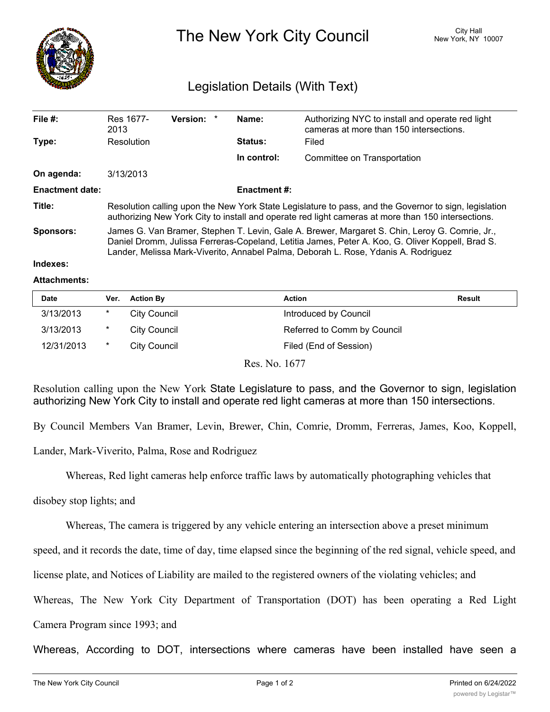

The New York City Council New York, NY 10007

## Legislation Details (With Text)

| File $#$ :             | Res 1677-<br>2013                                                                                                                                                                                                                                                                        | Version: * |  | Name:          | Authorizing NYC to install and operate red light<br>cameras at more than 150 intersections. |  |  |
|------------------------|------------------------------------------------------------------------------------------------------------------------------------------------------------------------------------------------------------------------------------------------------------------------------------------|------------|--|----------------|---------------------------------------------------------------------------------------------|--|--|
| Type:                  | Resolution                                                                                                                                                                                                                                                                               |            |  | <b>Status:</b> | Filed                                                                                       |  |  |
|                        |                                                                                                                                                                                                                                                                                          |            |  | In control:    | Committee on Transportation                                                                 |  |  |
| On agenda:             | 3/13/2013                                                                                                                                                                                                                                                                                |            |  |                |                                                                                             |  |  |
| <b>Enactment date:</b> | <b>Enactment #:</b>                                                                                                                                                                                                                                                                      |            |  |                |                                                                                             |  |  |
| Title:                 | Resolution calling upon the New York State Legislature to pass, and the Governor to sign, legislation<br>authorizing New York City to install and operate red light cameras at more than 150 intersections.                                                                              |            |  |                |                                                                                             |  |  |
| <b>Sponsors:</b>       | James G. Van Bramer, Stephen T. Levin, Gale A. Brewer, Margaret S. Chin, Leroy G. Comrie, Jr.,<br>Daniel Dromm, Julissa Ferreras-Copeland, Letitia James, Peter A. Koo, G. Oliver Koppell, Brad S.<br>Lander, Melissa Mark-Viverito, Annabel Palma, Deborah L. Rose, Ydanis A. Rodriguez |            |  |                |                                                                                             |  |  |
| Indexes:               |                                                                                                                                                                                                                                                                                          |            |  |                |                                                                                             |  |  |

## **Attachments:**

| Date       | Ver.   | <b>Action By</b> | <b>Action</b>                            | <b>Result</b> |
|------------|--------|------------------|------------------------------------------|---------------|
| 3/13/2013  | *      | City Council     | Introduced by Council                    |               |
| 3/13/2013  | $\ast$ | City Council     | Referred to Comm by Council              |               |
| 12/31/2013 | $\ast$ | City Council     | Filed (End of Session)                   |               |
|            |        |                  | $D_{\alpha\alpha}$ M <sub>a</sub> $1677$ |               |

Res. No. 1677

Resolution calling upon the New York State Legislature to pass, and the Governor to sign, legislation authorizing New York City to install and operate red light cameras at more than 150 intersections.

By Council Members Van Bramer, Levin, Brewer, Chin, Comrie, Dromm, Ferreras, James, Koo, Koppell,

Lander, Mark-Viverito, Palma, Rose and Rodriguez

Whereas, Red light cameras help enforce traffic laws by automatically photographing vehicles that

disobey stop lights; and

Whereas, The camera is triggered by any vehicle entering an intersection above a preset minimum

speed, and it records the date, time of day, time elapsed since the beginning of the red signal, vehicle speed, and

license plate, and Notices of Liability are mailed to the registered owners of the violating vehicles; and

Whereas, The New York City Department of Transportation (DOT) has been operating a Red Light

Camera Program since 1993; and

Whereas, According to DOT, intersections where cameras have been installed have seen a